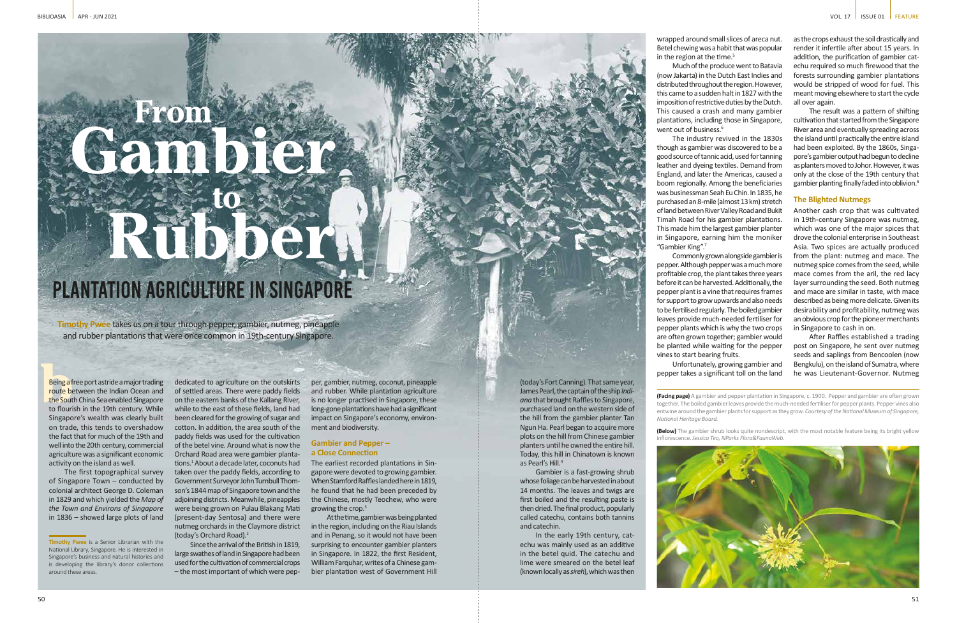**Timothy Pwee** takes us on a tour through pepper, gambier, nutmeg, pineapple and rubber plantations that were once common in 19th-century Singapore.

Being a f<br>
route be<br>
the Sout<br>
to flouri Being a free port astride a major trading route between the Indian Ocean and the South China Sea enabled Singapore to flourish in the 19th century. While Singapore's wealth was clearly built on trade, this tends to overshadow the fact that for much of the 19th and well into the 20th century, commercial agriculture was a significant economic activity on the island as well.

The first topographical survey of Singapore Town – conducted by colonial architect George D. Coleman in 1829 and which yielded the *Map of the Town and Environs of Singapore* in 1836 – showed large plots of land

dedicated to agriculture on the outskirts of settled areas. There were paddy fields on the eastern banks of the Kallang River, while to the east of these fields, land had been cleared for the growing of sugar and cotton. In addition, the area south of the paddy fields was used for the cultivation of the betel vine. Around what is now the Orchard Road area were gambier plantations.<sup>1</sup> About a decade later, coconuts had taken over the paddy fields, according to Government Surveyor John Turnbull Thomson's 1844 map of Singapore town and the adjoining districts. Meanwhile, pineapples were being grown on Pulau Blakang Mati (present-day Sentosa) and there were nutmeg orchards in the Claymore district (today's Orchard Road).2

wrapped around small slices of areca nut. Betel chewing was a habit that was popular in the region at the time.<sup>5</sup>

Much of the produce went to Batavia (now Jakarta) in the Dutch East Indies and distributed throughout the region. However, this came to a sudden halt in 1827 with the imposition of restrictive duties by the Dutch. This caused a crash and many gambier plantations, including those in Singapore, went out of business.<sup>6</sup>

Since the arrival of the British in 1819, large swathes of land in Singapore had been used for the cultivation of commercial crops – the most important of which were pep-

per, gambier, nutmeg, coconut, pineapple and rubber. While plantation agriculture is no longer practised in Singapore, these long-gone plantations have had a significant impact on Singapore's economy, environment and biodiversity.

### **Gambier and Pepper – a Close Connection**

The earliest recorded plantations in Singapore were devoted to growing gambier. When Stamford Raffles landed here in 1819, he found that he had been preceded by the Chinese, mostly Teochew, who were growing the crop.3

At the time, gambier was being planted in the region, including on the Riau Islands and in Penang, so it would not have been surprising to encounter gambier planters in Singapore. In 1822, the first Resident, William Farquhar, writes of a Chinese gambier plantation west of Government Hill

(today's Fort Canning). That same year, James Pearl, the captain of the ship *Indiana* that brought Raffles to Singapore, purchased land on the western side of the hill from the gambier planter Tan Ngun Ha. Pearl began to acquire more plots on the hill from Chinese gambier planters until he owned the entire hill. Today, this hill in Chinatown is known as Pearl's Hill.4

Gambier is a fast-growing shrub whose foliage can be harvested in about 14 months. The leaves and twigs are first boiled and the resulting paste is then dried. The final product, popularly called catechu, contains both tannins and catechin.

In the early 19th century, catechu was mainly used as an additive in the betel quid. The catechu and lime were smeared on the betel leaf (known locally as *sireh*), which was then

# PLANTATION AGRICULTURE IN SINGAPORE Gambier 19 Rubber **From to**

The industry revived in the 1830s though as gambier was discovered to be a good source of tannic acid, used for tanning leather and dyeing textiles. Demand from England, and later the Americas, caused a boom regionally. Among the beneficiaries was businessman Seah Eu Chin. In 1835, he purchased an 8-mile (almost 13 km) stretch of land between River Valley Road and Bukit Timah Road for his gambier plantations. This made him the largest gambier planter in Singapore, earning him the moniker "Gambier King".7

Commonly grown alongside gambier is pepper. Although pepper was a much more profitable crop, the plant takes three years before it can be harvested. Additionally, the pepper plant is a vine that requires frames for support to grow upwards and also needs to be fertilised regularly. The boiled gambier leaves provide much-needed fertiliser for pepper plants which is why the two crops are often grown together; gambier would be planted while waiting for the pepper vines to start bearing fruits. Unfortunately, growing gambier and

pepper takes a significant toll on the land



as the crops exhaust the soil drastically and render it infertile after about 15 years. In addition, the purification of gambier catechu required so much firewood that the forests surrounding gambier plantations would be stripped of wood for fuel. This meant moving elsewhere to start the cycle all over again.

The result was a pattern of shifting cultivation that started from the Singapore River area and eventually spreading across the island until practically the entire island had been exploited. By the 1860s, Singapore's gambier output had begun to decline as planters moved to Johor. However, it was only at the close of the 19th century that gambier planting finally faded into oblivion.8

## **The Blighted Nutmegs**

Another cash crop that was cultivated in 19th-century Singapore was nutmeg, which was one of the major spices that drove the colonial enterprise in Southeast Asia. Two spices are actually produced from the plant: nutmeg and mace. The nutmeg spice comes from the seed, while mace comes from the aril, the red lacy layer surrounding the seed. Both nutmeg and mace are similar in taste, with mace described as being more delicate. Given its desirability and profitability, nutmeg was an obvious crop for the pioneer merchants in Singapore to cash in on.

After Raffles established a trading post on Singapore, he sent over nutmeg seeds and saplings from Bencoolen (now Bengkulu), on the island of Sumatra, where he was Lieutenant-Governor. Nutmeg

**(Facing page)** A gambier and pepper plantation in Singapore, c. 1900. Pepper and gambier are often grown together. The boiled gambier leaves provide the much-needed fertiliser for pepper plants. Pepper vines also entwine around the gambier plants for support as they grow. *Courtesy of the National Museum of Singapore, National Heritage Board.*

**(Below)** The gambier shrub looks quite nondescript, with the most notable feature being its bright yellow inflorescence. *Jessica Teo, NParks Flora&FaunaWeb.*



**Timothy Pwee** is a Senior Librarian with the National Library, Singapore. He is interested in Singapore's business and natural histories and is developing the library's donor collections around these areas.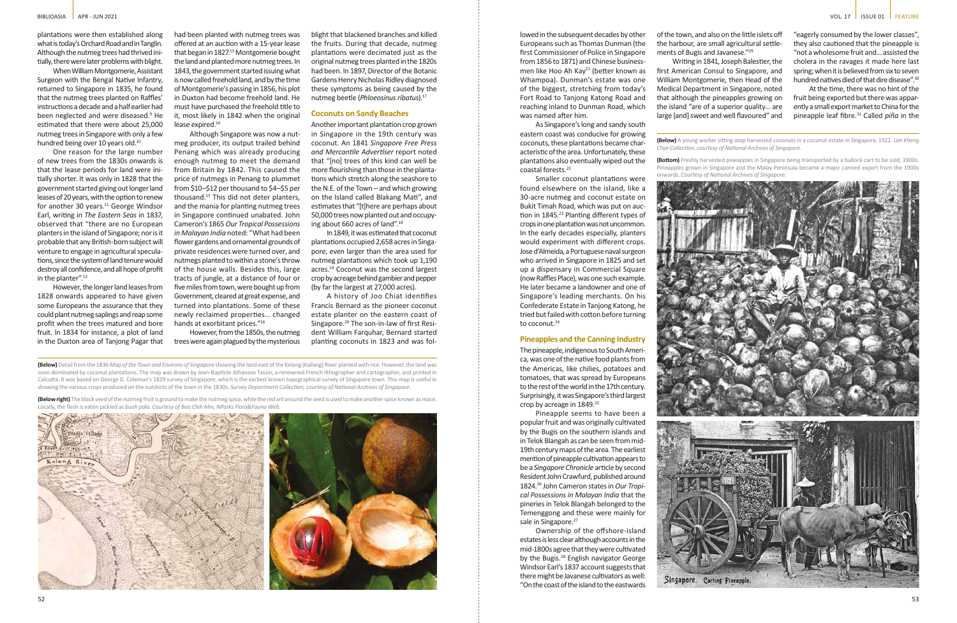plantations were then established along what is today's Orchard Road and in Tanglin. Although the nutmeg trees had thrived initially, there were later problems with blight.

When William Montgomerie, Assistant Surgeon with the Bengal Native Infantry, returned to Singapore in 1835, he found that the nutmeg trees planted on Raffles' instructions a decade and a half earlier had been neglected and were diseased.<sup>9</sup> He estimated that there were about 25,000 nutmeg trees in Singapore with only a few hundred being over 10 years old.<sup>10</sup>

One reason for the large number of new trees from the 1830s onwards is that the lease periods for land were initially shorter. It was only in 1828 that the government started giving out longer land leases of 20 years, with the option to renew for another 30 years.<sup>11</sup> George Windsor Earl, writing in *The Eastern Seas* in 1837, observed that "there are no European planters in the island of Singapore; nor is it probable that any British-born subject will venture to engage in agricultural speculations, since the system of land tenure would destroy all confidence, and all hope of profit in the planter".<sup>12</sup>

Smaller coconut plantations were found elsewhere on the island, like a 30-acre nutmeg and coconut estate on Bukit Timah Road, which was put on auction in 1845.<sup>23</sup> Planting different types of crops in one plantation was not uncommon. In the early decades especially, planters would experiment with different crops. Jose d'Almeida, a Portuguese naval surgeon who arrived in Singapore in 1825 and set up a dispensary in Commercial Square (now Raffles Place), was one such example. He later became a landowner and one of Singapore's leading merchants. On his Confederate Estate in Tanjong Katong, he tried but failed with cotton before turning to coconut.<sup>24</sup>

However, the longer land leases from 1828 onwards appeared to have given some Europeans the assurance that they could plant nutmeg saplings and reap some profit when the trees matured and bore fruit. In 1834 for instance, a plot of land in the Duxton area of Tanjong Pagar that

> Pineapple seems to have been a popular fruit and was originally cultivated by the Bugis on the southern islands and in Telok Blangah as can be seen from mid-19th century maps of the area. The earliest mention of pineapple cultivation appears to be a *Singapore Chronicle* article by second Resident John Crawfurd, published around 1824.26 John Cameron states in *Our Tropical Possessions in Malayan India* that the pineries in Telok Blangah belonged to the Temenggong and these were mainly for sale in Singapore.<sup>27</sup>

lowed in the subsequent decades by other Europeans such as Thomas Dunman (the first Commissioner of Police in Singapore from 1856 to 1871) and Chinese businessmen like Hoo Ah Kay<sup>21</sup> (better known as Whampoa). Dunman's estate was one of the biggest, stretching from today's Fort Road to Tanjong Katong Road and reaching inland to Dunman Road, which was named after him.

As Singapore's long and sandy south eastern coast was conducive for growing coconuts, these plantations became characteristic of the area. Unfortunately, these plantations also eventually wiped out the coastal forests.<sup>22</sup>

had been planted with nutmeg trees was offered at an auction with a 15-year lease that began in 1827.<sup>13</sup> Montgomerie bought the land and planted more nutmeg trees. In 1843, the government started issuing what is now called freehold land, and by the time of Montgomerie's passing in 1856, his plot in Duxton had become freehold land. He must have purchased the freehold title to it, most likely in 1842 when the original lease expired.<sup>14</sup>

# **Pineapples and the Canning Industry**

The pineapple, indigenous to South America, was one of the native food plants from the Americas, like chilies, potatoes and tomatoes, that was spread by Europeans to the rest of the world in the 17th century. Surprisingly, it was Singapore's third largest crop by acreage in 1849.25

Ownership of the offshore-island estates is less clear although accounts in the mid-1800s agree that they were cultivated by the Bugis.<sup>28</sup> English navigator George Windsor Earl's 1837 account suggests that there might be Javanese cultivators as well: "On the coast of the island to the eastwards

**(Below)** Detail from the 1836 *Map of the Town and Environs of Singapore* showing the land east of the Kelang (Kallang) River planted with rice. However, the land was soon dominated by coconut plantations. The map was drawn by Jean-Baptiste Athanase Tassin, a renowned French lithographer and cartographer, and printed in Calcutta. It was based on George D. Coleman's 1829 survey of Singapore, which is the earliest known topographical survey of Singapore town. This map is useful in showing the various crops produced on the outskirts of the town in the 1830s. *Survey Department Collection, courtesy of National Archives of Singapore.*

**(Below right)** The black seed of the nutmeg fruit is ground to make the nutmeg spice, while the red aril around the seed is used to make another spice known as mace. Locally, the flesh is eaten pickled as *buah pala*. *Courtesy of Boo Chih Min, NParks Flora&Fauna Web.*



**(Below)** A young worker sitting atop harvested coconuts in a coconut estate in Singapore, 1922. *Lim Kheng Chye Collection, courtesy of National Archives of Singapore.*

**(Bottom)** Freshly harvested pineapples in Singapore being transported by a bullock cart to be sold, 1900s. Pineapples grown in Singapore and the Malay Peninsula became a major canned export from the 1900s onwards. *Courtesy of National Archives of Singapore.*



Although Singapore was now a nutmeg producer, its output trailed behind Penang which was already producing enough nutmeg to meet the demand from Britain by 1842. This caused the price of nutmegs in Penang to plummet from \$10–\$12 per thousand to \$4–\$5 per thousand.15 This did not deter planters, and the mania for planting nutmeg trees in Singapore continued unabated. John Cameron's 1865 *Our Tropical Possessions in Malayan India* noted: "What had been flower gardens and ornamental grounds of private residences were turned over, and nutmegs planted to within a stone's throw of the house walls. Besides this, large tracts of jungle, at a distance of four or five miles from town, were bought up from Government, cleared at great expense, and turned into plantations. Some of these newly reclaimed properties… changed hands at exorbitant prices."16

However, from the 1850s, the nutmeg trees were again plagued by the mysterious blight that blackened branches and killed the fruits. During that decade, nutmeg plantations were decimated just as the original nutmeg trees planted in the 1820s had been. In 1897, Director of the Botanic Gardens Henry Nicholas Ridley diagnosed these symptoms as being caused by the nutmeg beetle (*Phloeosinus ribatus*).17

### **Coconuts on Sandy Beaches**

Another important plantation crop grown in Singapore in the 19th century was coconut. An 1841 *Singapore Free Press and Mercantile Advertiser* report noted that "[no] trees of this kind can well be more flourishing than those in the plantations which stretch along the seashore to the N.E. of the Town – and which growing on the Island called Blakang Mati", and estimates that "[t]here are perhaps about 50,000 trees now planted out and occupying about 660 acres of land".18

In 1849, it was estimated that coconut plantations occupied 2,658 acres in Singapore, even larger than the area used for nutmeg plantations which took up 1,190 acres.<sup>19</sup> Coconut was the second largest crop by acreage behind gambier and pepper (by far the largest at 27,000 acres).

A history of Joo Chiat identifies Francis Bernard as the pioneer coconut estate planter on the eastern coast of Singapore.20 The son-in-law of first Resident William Farquhar, Bernard started planting coconuts in 1823 and was folof the town, and also on the little islets off the harbour, are small agricultural settlements of Bugis and Javanese."29

Writing in 1841, Joseph Balestier, the first American Consul to Singapore, and William Montgomerie, then Head of the Medical Department in Singapore, noted that although the pineapples growing on the island "are of a superior quality… are large [and] sweet and well flavoured" and



"eagerly consumed by the lower classes", they also cautioned that the pineapple is "not a wholesome fruit and… assisted the cholera in the ravages it made here last spring; when it is believed from six to seven hundred natives died of that dire disease".30

At the time, there was no hint of the fruit being exported but there was apparently a small export market to China for the pineapple leaf fibre.31 Called *piña* in the